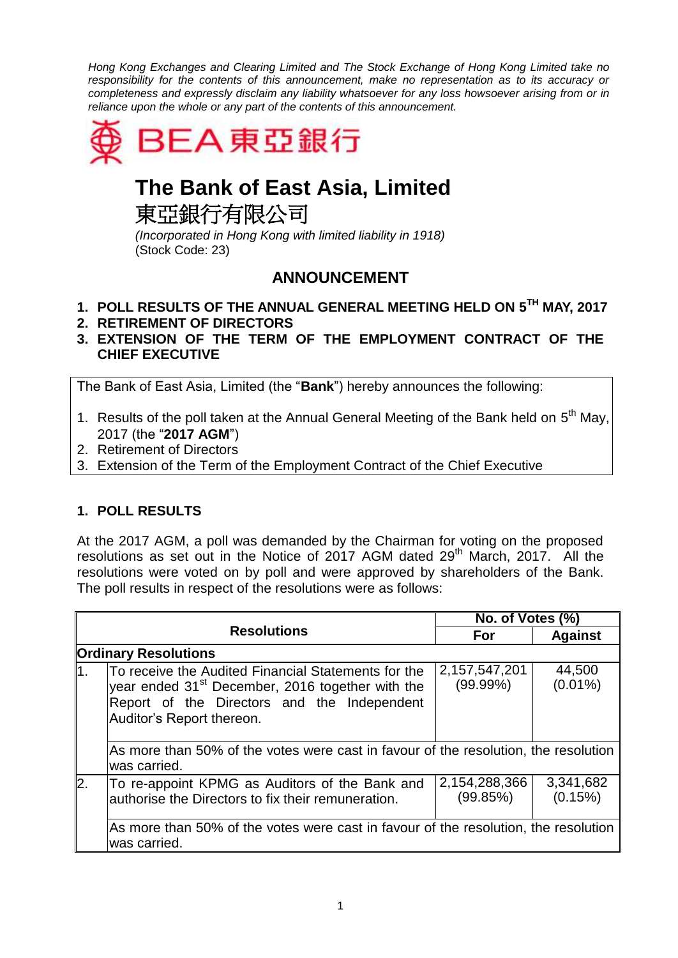*Hong Kong Exchanges and Clearing Limited and The Stock Exchange of Hong Kong Limited take no responsibility for the contents of this announcement, make no representation as to its accuracy or completeness and expressly disclaim any liability whatsoever for any loss howsoever arising from or in reliance upon the whole or any part of the contents of this announcement.*



# **The Bank of East Asia, Limited**

東亞銀行有限公司

*(Incorporated in Hong Kong with limited liability in 1918)* (Stock Code: 23)

# **ANNOUNCEMENT**

- **1. POLL RESULTS OF THE ANNUAL GENERAL MEETING HELD ON 5 TH MAY, 2017**
- **2. RETIREMENT OF DIRECTORS**
- **3. EXTENSION OF THE TERM OF THE EMPLOYMENT CONTRACT OF THE CHIEF EXECUTIVE**

The Bank of East Asia, Limited (the "**Bank**") hereby announces the following:

- 1. Results of the poll taken at the Annual General Meeting of the Bank held on  $5<sup>th</sup>$  May, 2017 (the "**2017 AGM**")
- 2. Retirement of Directors
- 3. Extension of the Term of the Employment Contract of the Chief Executive

## **1. POLL RESULTS**

At the 2017 AGM, a poll was demanded by the Chairman for voting on the proposed resolutions as set out in the Notice of 2017 AGM dated 29<sup>th</sup> March, 2017. All the resolutions were voted on by poll and were approved by shareholders of the Bank. The poll results in respect of the resolutions were as follows:

|                             |                                                                                                                                                                                                 | No. of Votes (%)             |                      |  |  |
|-----------------------------|-------------------------------------------------------------------------------------------------------------------------------------------------------------------------------------------------|------------------------------|----------------------|--|--|
| <b>Resolutions</b>          |                                                                                                                                                                                                 | For                          | <b>Against</b>       |  |  |
| <b>Ordinary Resolutions</b> |                                                                                                                                                                                                 |                              |                      |  |  |
| 11.                         | To receive the Audited Financial Statements for the<br>year ended 31 <sup>st</sup> December, 2016 together with the<br>Report of the Directors and the Independent<br>Auditor's Report thereon. | 2,157,547,201<br>$(99.99\%)$ | 44,500<br>$(0.01\%)$ |  |  |
|                             | As more than 50% of the votes were cast in favour of the resolution, the resolution<br>was carried.                                                                                             |                              |                      |  |  |
| 2.                          | To re-appoint KPMG as Auditors of the Bank and<br>authorise the Directors to fix their remuneration.                                                                                            | 2,154,288,366<br>(99.85%)    | 3,341,682<br>(0.15%) |  |  |
|                             | As more than 50% of the votes were cast in favour of the resolution, the resolution<br>was carried.                                                                                             |                              |                      |  |  |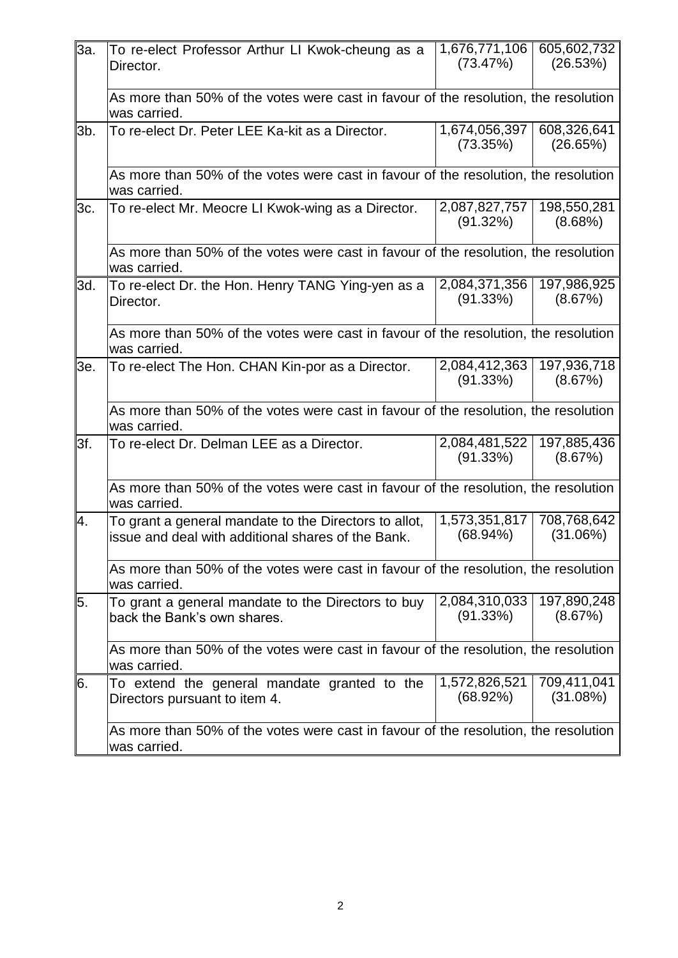|        |                                                                                                             |                              | 605,602,732             |  |
|--------|-------------------------------------------------------------------------------------------------------------|------------------------------|-------------------------|--|
| 3a.    | To re-elect Professor Arthur LI Kwok-cheung as a<br>Director.                                               | 1,676,771,106<br>(73.47%)    | (26.53%)                |  |
|        | As more than 50% of the votes were cast in favour of the resolution, the resolution<br>was carried.         |                              |                         |  |
| $3b$ . | To re-elect Dr. Peter LEE Ka-kit as a Director.                                                             | 1,674,056,397<br>(73.35%)    | 608,326,641<br>(26.65%) |  |
|        | As more than 50% of the votes were cast in favour of the resolution, the resolution<br>was carried.         |                              |                         |  |
| 3c.    | To re-elect Mr. Meocre LI Kwok-wing as a Director.                                                          | 2,087,827,757<br>(91.32%)    | 198,550,281<br>(8.68%)  |  |
|        | As more than 50% of the votes were cast in favour of the resolution, the resolution<br>was carried.         |                              |                         |  |
| 3d.    | To re-elect Dr. the Hon. Henry TANG Ying-yen as a<br>Director.                                              | 2,084,371,356<br>(91.33%)    | 197,986,925<br>(8.67%)  |  |
|        | As more than 50% of the votes were cast in favour of the resolution, the resolution<br>was carried.         |                              |                         |  |
| 3e.    | To re-elect The Hon. CHAN Kin-por as a Director.                                                            | 2,084,412,363<br>(91.33%)    | 197,936,718<br>(8.67%)  |  |
|        | As more than 50% of the votes were cast in favour of the resolution, the resolution<br>was carried.         |                              |                         |  |
| 3f.    | To re-elect Dr. Delman LEE as a Director.                                                                   | 2,084,481,522<br>(91.33%)    | 197,885,436<br>(8.67%)  |  |
|        | As more than 50% of the votes were cast in favour of the resolution, the resolution<br>was carried.         |                              |                         |  |
| Ι4.    | To grant a general mandate to the Directors to allot,<br>issue and deal with additional shares of the Bank. | 1,573,351,817<br>$(68.94\%)$ | 708,768,642<br>(31.06%) |  |
|        | As more than 50% of the votes were cast in favour of the resolution, the resolution<br>was carried.         |                              |                         |  |
| 5.     | To grant a general mandate to the Directors to buy<br>back the Bank's own shares.                           | 2,084,310,033<br>(91.33%)    | 197,890,248<br>(8.67%)  |  |
|        | As more than 50% of the votes were cast in favour of the resolution, the resolution<br>was carried.         |                              |                         |  |
| 6.     | To extend the general mandate granted to the<br>Directors pursuant to item 4.                               | 1,572,826,521<br>(68.92%)    | 709,411,041<br>(31.08%) |  |
|        | As more than 50% of the votes were cast in favour of the resolution, the resolution<br>was carried.         |                              |                         |  |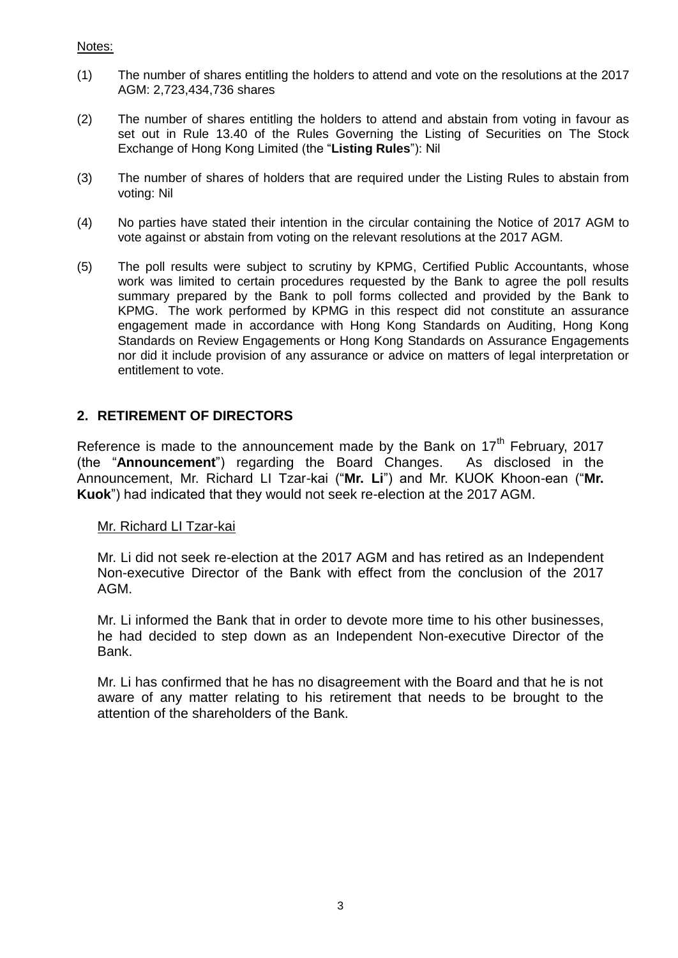- (1) The number of shares entitling the holders to attend and vote on the resolutions at the 2017 AGM: 2,723,434,736 shares
- (2) The number of shares entitling the holders to attend and abstain from voting in favour as set out in Rule 13.40 of the Rules Governing the Listing of Securities on The Stock Exchange of Hong Kong Limited (the "**Listing Rules**"): Nil
- (3) The number of shares of holders that are required under the Listing Rules to abstain from voting: Nil
- (4) No parties have stated their intention in the circular containing the Notice of 2017 AGM to vote against or abstain from voting on the relevant resolutions at the 2017 AGM.
- (5) The poll results were subject to scrutiny by KPMG, Certified Public Accountants, whose work was limited to certain procedures requested by the Bank to agree the poll results summary prepared by the Bank to poll forms collected and provided by the Bank to KPMG. The work performed by KPMG in this respect did not constitute an assurance engagement made in accordance with Hong Kong Standards on Auditing, Hong Kong Standards on Review Engagements or Hong Kong Standards on Assurance Engagements nor did it include provision of any assurance or advice on matters of legal interpretation or entitlement to vote.

### **2. RETIREMENT OF DIRECTORS**

Reference is made to the announcement made by the Bank on  $17<sup>th</sup>$  February, 2017 (the "**Announcement**") regarding the Board Changes. As disclosed in the Announcement, Mr. Richard LI Tzar-kai ("**Mr. Li**") and Mr. KUOK Khoon-ean ("**Mr. Kuok**") had indicated that they would not seek re-election at the 2017 AGM.

#### Mr. Richard LI Tzar-kai

Mr. Li did not seek re-election at the 2017 AGM and has retired as an Independent Non-executive Director of the Bank with effect from the conclusion of the 2017 AGM.

Mr. Li informed the Bank that in order to devote more time to his other businesses, he had decided to step down as an Independent Non-executive Director of the Bank.

Mr. Li has confirmed that he has no disagreement with the Board and that he is not aware of any matter relating to his retirement that needs to be brought to the attention of the shareholders of the Bank.